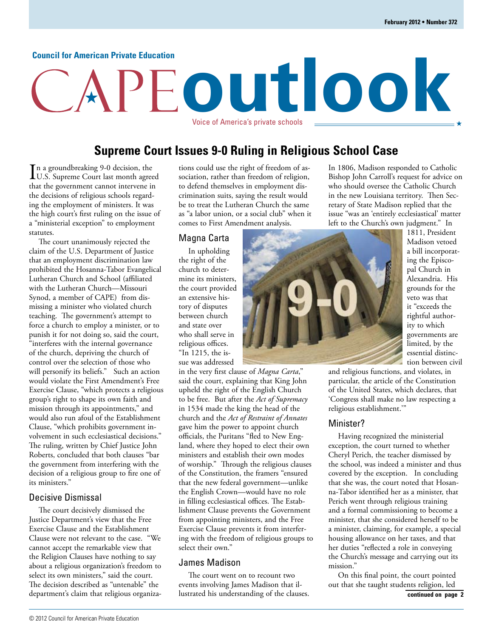## **Council for American Private Education**

# **outlook** Voice of America's private schools

## **Supreme Court Issues 9-0 Ruling in Religious School Case**

In a groundbreaking 9-0 decision, the<br>U.S. Supreme Court last month agree U.S. Supreme Court last month agreed that the government cannot intervene in the decisions of religious schools regarding the employment of ministers. It was the high court's first ruling on the issue of a "ministerial exception" to employment statutes.

The court unanimously rejected the claim of the U.S. Department of Justice that an employment discrimination law prohibited the Hosanna-Tabor Evangelical Lutheran Church and School (affiliated with the Lutheran Church—Missouri Synod, a member of CAPE) from dismissing a minister who violated church teaching. The government's attempt to force a church to employ a minister, or to punish it for not doing so, said the court, "interferes with the internal governance of the church, depriving the church of control over the selection of those who will personify its beliefs." Such an action would violate the First Amendment's Free Exercise Clause, "which protects a religious group's right to shape its own faith and mission through its appointments," and would also run afoul of the Establishment Clause, "which prohibits government involvement in such ecclesiastical decisions." The ruling, written by Chief Justice John Roberts, concluded that both clauses "bar the government from interfering with the decision of a religious group to fire one of its ministers."

## Decisive Dismissal

The court decisively dismissed the Justice Department's view that the Free Exercise Clause and the Establishment Clause were not relevant to the case. "We cannot accept the remarkable view that the Religion Clauses have nothing to say about a religious organization's freedom to select its own ministers," said the court. The decision described as "untenable" the department's claim that religious organizations could use the right of freedom of association, rather than freedom of religion, to defend themselves in employment discrimination suits, saying the result would be to treat the Lutheran Church the same as "a labor union, or a social club" when it comes to First Amendment analysis.

## Magna Carta

In upholding the right of the church to determine its ministers, the court provided an extensive history of disputes between church and state over who shall serve in religious offices. "In 1215, the issue was addressed

in the very first clause of *Magna Carta*," said the court, explaining that King John upheld the right of the English Church to be free. But after the *Act of Supremacy* in 1534 made the king the head of the church and the *Act of Restraint of Annates* gave him the power to appoint church officials, the Puritans "fled to New England, where they hoped to elect their own ministers and establish their own modes of worship." Through the religious clauses of the Constitution, the framers "ensured that the new federal government—unlike the English Crown—would have no role in filling ecclesiastical offices. The Establishment Clause prevents the Government from appointing ministers, and the Free Exercise Clause prevents it from interfering with the freedom of religious groups to select their own."

## James Madison

The court went on to recount two events involving James Madison that illustrated his understanding of the clauses. In 1806, Madison responded to Catholic Bishop John Carroll's request for advice on who should oversee the Catholic Church in the new Louisiana territory. Then Secretary of State Madison replied that the issue "was an 'entirely ecclesiastical' matter left to the Church's own judgment." In



1811, President Madison vetoed a bill incorporating the Episcopal Church in Alexandria. His grounds for the veto was that it "exceeds the rightful authority to which governments are limited, by the essential distinction between civil

and religious functions, and violates, in particular, the article of the Constitution of the United States, which declares, that 'Congress shall make no law respecting a religious establishment.'"

## Minister?

Having recognized the ministerial exception, the court turned to whether Cheryl Perich, the teacher dismissed by the school, was indeed a minister and thus covered by the exception. In concluding that she was, the court noted that Hosanna-Tabor identified her as a minister, that Perich went through religious training and a formal commissioning to become a minister, that she considered herself to be a minister, claiming, for example, a special housing allowance on her taxes, and that her duties "reflected a role in conveying the Church's message and carrying out its mission."

On this final point, the court pointed out that she taught students religion, led **continued on page 2**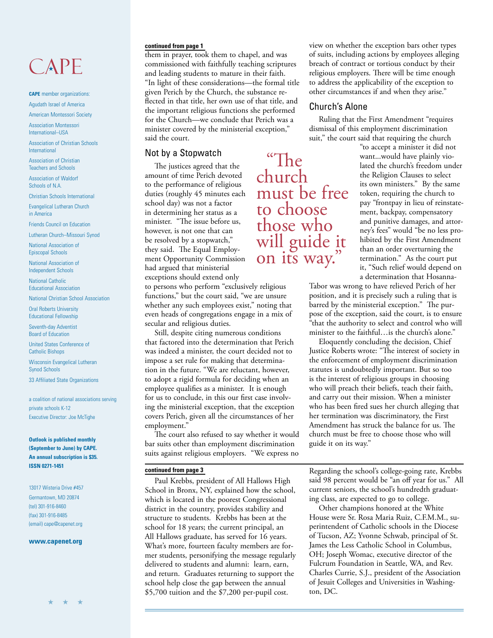# CAPE

### **CAPE** member organizations: Agudath Israel of America

American Montessori Society

Association Montessori International–USA

Association of Christian Schools International

Association of Christian Teachers and Schools

Association of Waldorf Schools of N.A.

Christian Schools International

Evangelical Lutheran Church in America

Friends Council on Education

Lutheran Church–Missouri Synod

National Association of Episcopal Schools

National Association of Independent Schools

National Catholic Educational Association

National Christian School Association

Oral Roberts University Educational Fellowship

Seventh-day Adventist Board of Education

United States Conference of Catholic Bishops

Wisconsin Evangelical Lutheran Synod Schools

33 Affiliated State Organizations

a coalition of national associations serving private schools K-12 Executive Director: Joe McTighe

**Outlook is published monthly (September to June) by CAPE. An annual subscription is \$35. ISSN 0271-1451**

13017 Wisteria Drive #457 Germantown, MD 20874 (tel) 301-916-8460 (fax) 301-916-8485 (email) cape@capenet.org

### **www.capenet.org**

## **continued from page 1**

them in prayer, took them to chapel, and was commissioned with faithfully teaching scriptures and leading students to mature in their faith. "In light of these considerations—the formal title given Perich by the Church, the substance reflected in that title, her own use of that title, and the important religious functions she performed for the Church—we conclude that Perich was a minister covered by the ministerial exception," said the court.

## Not by a Stopwatch

The justices agreed that the amount of time Perich devoted to the performance of religious duties (roughly 45 minutes each school day) was not a factor in determining her status as a minister. "The issue before us, however, is not one that can be resolved by a stopwatch," they said. The Equal Employment Opportunity Commission had argued that ministerial exceptions should extend only

to persons who perform "exclusively religious functions," but the court said, "we are unsure whether any such employees exist," noting that even heads of congregations engage in a mix of secular and religious duties.

Still, despite citing numerous conditions that factored into the determination that Perich was indeed a minister, the court decided not to impose a set rule for making that determination in the future. "We are reluctant, however, to adopt a rigid formula for deciding when an employee qualifies as a minister. It is enough for us to conclude, in this our first case involving the ministerial exception, that the exception covers Perich, given all the circumstances of her employment.'

The court also refused to say whether it would bar suits other than employment discrimination suits against religious employers. "We express no

## **continued from page 3**

Paul Krebbs, president of All Hallows High School in Bronx, NY, explained how the school, which is located in the poorest Congressional district in the country, provides stability and structure to students. Krebbs has been at the school for 18 years; the current principal, an All Hallows graduate, has served for 16 years. What's more, fourteen faculty members are former students, personifying the message regularly delivered to students and alumni: learn, earn, and return. Graduates returning to support the school help close the gap between the annual \$5,700 tuition and the \$7,200 per-pupil cost.

view on whether the exception bars other types of suits, including actions by employees alleging breach of contract or tortious conduct by their religious employers. There will be time enough to address the applicability of the exception to other circumstances if and when they arise."

## Church's Alone

Ruling that the First Amendment "requires dismissal of this employment discrimination suit," the court said that requiring the church

> "to accept a minister it did not want...would have plainly violated the church's freedom under the Religion Clauses to select its own ministers." By the same token, requiring the church to pay "frontpay in lieu of reinstatement, backpay, compensatory and punitive damages, and attorney's fees" would "be no less prohibited by the First Amendment than an order overturning the termination." As the court put it, "Such relief would depend on a determination that Hosanna-

Tabor was wrong to have relieved Perich of her position, and it is precisely such a ruling that is barred by the ministerial exception." The purpose of the exception, said the court, is to ensure "that the authority to select and control who will minister to the faithful…is the church's alone."

Eloquently concluding the decision, Chief Justice Roberts wrote: "The interest of society in the enforcement of employment discrimination statutes is undoubtedly important. But so too is the interest of religious groups in choosing who will preach their beliefs, teach their faith, and carry out their mission. When a minister who has been fired sues her church alleging that her termination was discriminatory, the First Amendment has struck the balance for us. The church must be free to choose those who will guide it on its way."

Regarding the school's college-going rate, Krebbs said 98 percent would be "an off year for us." All current seniors, the school's hundredth graduating class, are expected to go to college.

Other champions honored at the White House were Sr. Rosa Maria Ruiz, C.F.M.M., superintendent of Catholic schools in the Diocese of Tucson, AZ; Yvonne Schwab, principal of St. James the Less Catholic School in Columbus, OH; Joseph Womac, executive director of the Fulcrum Foundation in Seattle, WA, and Rev. Charles Currie, S.J., president of the Association of Jesuit Colleges and Universities in Washington, DC.

"The church must be free to choose those who will guide it on its way."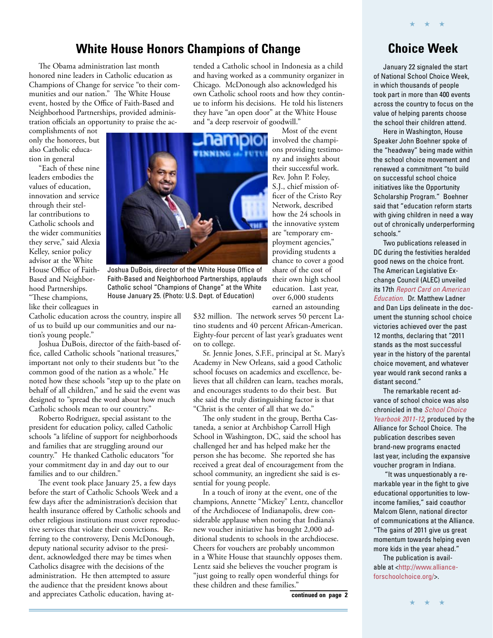## **White House Honors Champions of Change Choice Week**

The Obama administration last month honored nine leaders in Catholic education as Champions of Change for service "to their communities and our nation." The White House event, hosted by the Office of Faith-Based and Neighborhood Partnerships, provided administration officials an opportunity to praise the ac-

complishments of not only the honorees, but also Catholic education in general

"Each of these nine leaders embodies the values of education, innovation and service through their stellar contributions to Catholic schools and the wider communities they serve," said Alexia Kelley, senior policy advisor at the White House Office of Faith-Based and Neighborhood Partnerships. "These champions, like their colleagues in



Joshua DuBois, director of the White House Office of Faith-Based and Neighborhood Partnerships, applauds their own high school Catholic school "Champions of Change" at the White House January 25. (Photo: U.S. Dept. of Education)

Catholic education across the country, inspire all of us to build up our communities and our nation's young people."

Joshua DuBois, director of the faith-based office, called Catholic schools "national treasures," important not only to their students but "to the common good of the nation as a whole." He noted how these schools "step up to the plate on behalf of all children," and he said the event was designed to "spread the word about how much Catholic schools mean to our country."

Roberto Rodriguez, special assistant to the president for education policy, called Catholic schools "a lifeline of support for neighborhoods and families that are struggling around our country." He thanked Catholic educators "for your commitment day in and day out to our families and to our children."

The event took place January 25, a few days before the start of Catholic Schools Week and a few days after the administration's decision that health insurance offered by Catholic schools and other religious institutions must cover reproductive services that violate their convictions. Referring to the controversy, Denis McDonough, deputy national security advisor to the president, acknowledged there may be times when Catholics disagree with the decisions of the administration. He then attempted to assure the audience that the president knows about and appreciates Catholic education, having at-

tended a Catholic school in Indonesia as a child and having worked as a community organizer in Chicago. McDonough also acknowledged his own Catholic school roots and how they continue to inform his decisions. He told his listeners they have "an open door" at the White House and "a deep reservoir of goodwill."

> ons providing testimony and insights about their successful work. Rev. John P. Foley, S.J., chief mission officer of the Cristo Rey Network, described how the 24 schools in the innovative system are "temporary employment agencies," providing students a chance to cover a good share of the cost of education. Last year, over 6,000 students

Most of the event

earned an astounding \$32 million. The network serves 50 percent Latino students and 40 percent African-American.

Eighty-four percent of last year's graduates went on to college. Sr. Jennie Jones, S.F.F., principal at St. Mary's Academy in New Orleans, said a good Catholic school focuses on academics and excellence, be-

lieves that all children can learn, teaches morals, and encourages students to do their best. But she said the truly distinguishing factor is that "Christ is the center of all that we do."

The only student in the group, Bertha Castaneda, a senior at Archbishop Carroll High School in Washington, DC, said the school has challenged her and has helped make her the person she has become. She reported she has received a great deal of encouragement from the school community, an ingredient she said is essential for young people.

In a touch of irony at the event, one of the champions, Annette "Mickey" Lentz, chancellor of the Archdiocese of Indianapolis, drew considerable applause when noting that Indiana's new voucher initiative has brought 2,000 additional students to schools in the archdiocese. Cheers for vouchers are probably uncommon in a White House that staunchly opposes them. Lentz said she believes the voucher program is "just going to really open wonderful things for these children and these families."

★ ★ ★

January 22 signaled the start of National School Choice Week, in which thousands of people took part in more than 400 events across the country to focus on the value of helping parents choose the school their children attend.

Here in Washington, House Speaker John Boehner spoke of the "headway" being made within the school choice movement and renewed a commitment "to build on successful school choice initiatives like the Opportunity Scholarship Program." Boehner said that "education reform starts with giving children in need a way out of chronically underperforming schools."

Two publications released in DC during the festivities heralded good news on the choice front. The American Legislative Exchange Council (ALEC) unveiled its 17th [Report Card on American](http://www.alec.org/publications/report-card-on-american-education/)  Education. Dr. Matthew Ladner and Dan Lips delineate in the document the stunning school choice victories achieved over the past 12 months, declaring that "2011 stands as the most successful year in the history of the parental choice movement, and whatever year would rank second ranks a distant second."

The remarkable recent advance of school choice was also [chronicled in the](http://www.allianceforschoolchoice.org/yearbook) *School Choice* Yearbook 2011-12, produced by the Alliance for School Choice. The publication describes seven brand-new programs enacted last year, including the expansive voucher program in Indiana.

"It was unquestionably a remarkable year in the fight to give educational opportunities to lowincome families," said coauthor Malcom Glenn, national director of communications at the Alliance. "The gains of 2011 give us great momentum towards helping even more kids in the year ahead."

The publication is avail[able at <http://www.alliance](http://www.allianceforschoolchoice.org/yearbook)forschoolchoice.org/>.